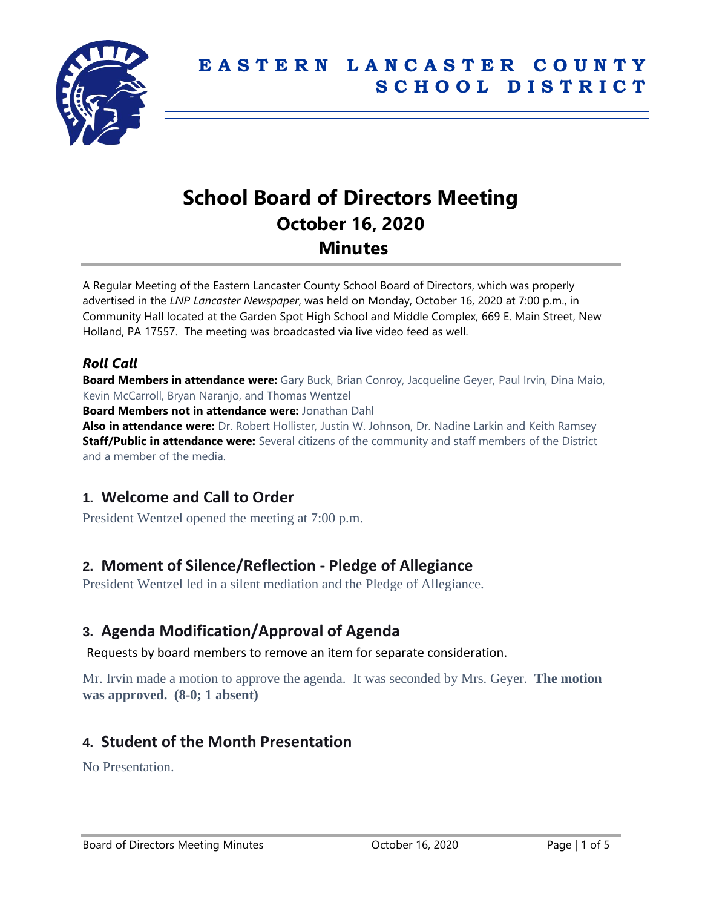

# **School Board of Directors Meeting October 16, 2020 Minutes**

A Regular Meeting of the Eastern Lancaster County School Board of Directors, which was properly advertised in the *LNP Lancaster Newspaper*, was held on Monday, October 16, 2020 at 7:00 p.m., in Community Hall located at the Garden Spot High School and Middle Complex, 669 E. Main Street, New Holland, PA 17557. The meeting was broadcasted via live video feed as well.

### *Roll Call*

**Board Members in attendance were:** Gary Buck, Brian Conroy, Jacqueline Geyer, Paul Irvin, Dina Maio, Kevin McCarroll, Bryan Naranjo, and Thomas Wentzel

**Board Members not in attendance were:** Jonathan Dahl

**Also in attendance were:** Dr. Robert Hollister, Justin W. Johnson, Dr. Nadine Larkin and Keith Ramsey **Staff/Public in attendance were:** Several citizens of the community and staff members of the District and a member of the media.

# **1. Welcome and Call to Order**

President Wentzel opened the meeting at 7:00 p.m.

# **2. Moment of Silence/Reflection - Pledge of Allegiance**

President Wentzel led in a silent mediation and the Pledge of Allegiance.

### **3. Agenda Modification/Approval of Agenda**

Requests by board members to remove an item for separate consideration.

Mr. Irvin made a motion to approve the agenda. It was seconded by Mrs. Geyer. **The motion was approved. (8-0; 1 absent)**

# **4. Student of the Month Presentation**

No Presentation.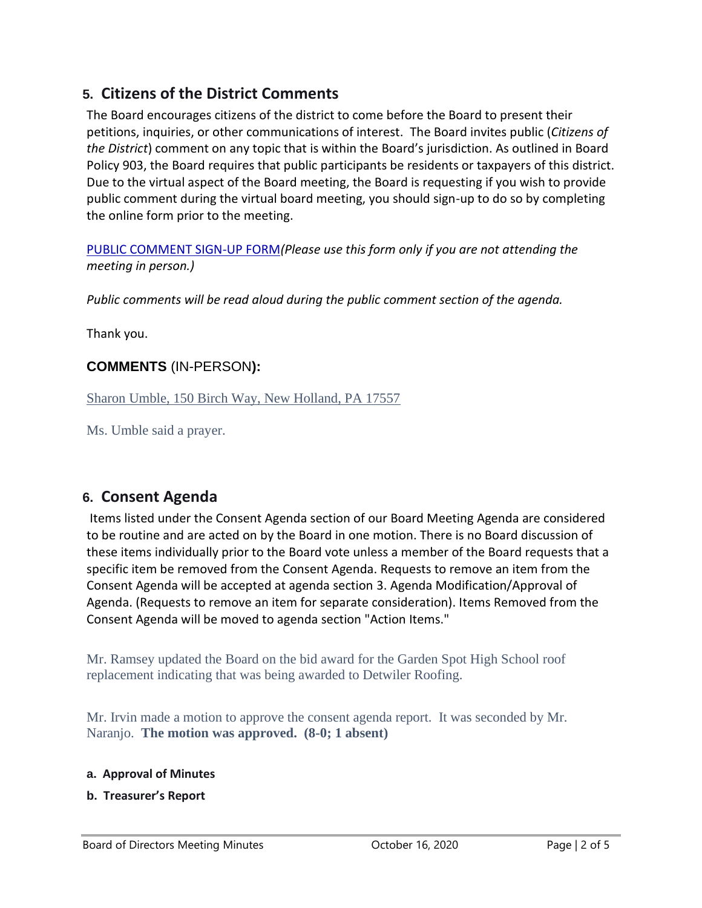# **5. Citizens of the District Comments**

The Board encourages citizens of the district to come before the Board to present their petitions, inquiries, or other communications of interest. The Board invites public (*Citizens of the District*) comment on any topic that is within the Board's jurisdiction. As outlined in Board Policy 903, the Board requires that public participants be residents or taxpayers of this district. Due to the virtual aspect of the Board meeting, the Board is requesting if you wish to provide public comment during the virtual board meeting, you should sign-up to do so by completing the online form prior to the meeting.

[PUBLIC COMMENT SIGN-UP FORM](https://forms.gle/zDXXoX8rZQUxt1Ap6)*(Please use this form only if you are not attending the meeting in person.)*

*Public comments will be read aloud during the public comment section of the agenda.*

Thank you.

#### **COMMENTS** (IN-PERSON**):**

Sharon Umble, 150 Birch Way, New Holland, PA 17557

Ms. Umble said a prayer.

### **6. Consent Agenda**

Items listed under the Consent Agenda section of our Board Meeting Agenda are considered to be routine and are acted on by the Board in one motion. There is no Board discussion of these items individually prior to the Board vote unless a member of the Board requests that a specific item be removed from the Consent Agenda. Requests to remove an item from the Consent Agenda will be accepted at agenda section 3. Agenda Modification/Approval of Agenda. (Requests to remove an item for separate consideration). Items Removed from the Consent Agenda will be moved to agenda section "Action Items."

Mr. Ramsey updated the Board on the bid award for the Garden Spot High School roof replacement indicating that was being awarded to Detwiler Roofing.

Mr. Irvin made a motion to approve the consent agenda report. It was seconded by Mr. Naranjo. **The motion was approved. (8-0; 1 absent)**

#### **a. Approval of Minutes**

**b. Treasurer's Report**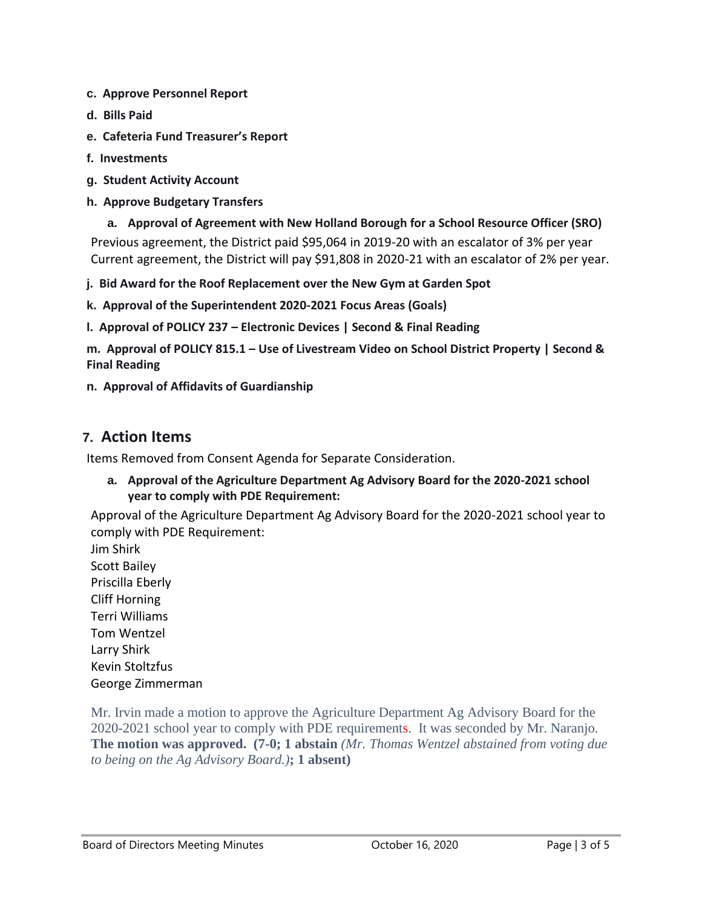- **c. Approve Personnel Report**
- **d. Bills Paid**
- **e. Cafeteria Fund Treasurer's Report**
- **f. Investments**
- **g. Student Activity Account**
- **h. Approve Budgetary Transfers**
- **a. Approval of Agreement with New Holland Borough for a School Resource Officer (SRO)** Previous agreement, the District paid \$95,064 in 2019-20 with an escalator of 3% per year Current agreement, the District will pay \$91,808 in 2020-21 with an escalator of 2% per year.
- **j. Bid Award for the Roof Replacement over the New Gym at Garden Spot**
- **k. Approval of the Superintendent 2020-2021 Focus Areas (Goals)**
- **l. Approval of POLICY 237 – Electronic Devices | Second & Final Reading**
- **m. Approval of POLICY 815.1 – Use of Livestream Video on School District Property | Second & Final Reading**
- **n. Approval of Affidavits of Guardianship**

#### **7. Action Items**

Items Removed from Consent Agenda for Separate Consideration.

**a. Approval of the Agriculture Department Ag Advisory Board for the 2020-2021 school year to comply with PDE Requirement:**

Approval of the Agriculture Department Ag Advisory Board for the 2020-2021 school year to comply with PDE Requirement:

Jim Shirk Scott Bailey Priscilla Eberly Cliff Horning Terri Williams Tom Wentzel Larry Shirk Kevin Stoltzfus George Zimmerman

Mr. Irvin made a motion to approve the Agriculture Department Ag Advisory Board for the 2020-2021 school year to comply with PDE requirements. It was seconded by Mr. Naranjo. **The motion was approved. (7-0; 1 abstain** *(Mr. Thomas Wentzel abstained from voting due to being on the Ag Advisory Board.)***; 1 absent)**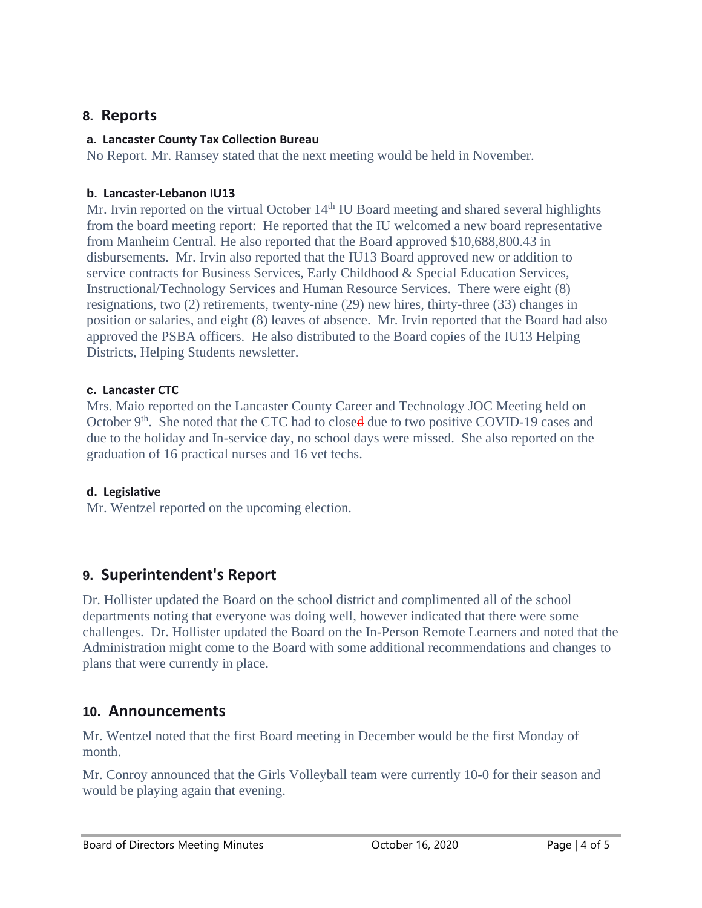### **8. Reports**

#### **a. Lancaster County Tax Collection Bureau**

No Report. Mr. Ramsey stated that the next meeting would be held in November.

#### **b. Lancaster-Lebanon IU13**

Mr. Irvin reported on the virtual October  $14<sup>th</sup>$  IU Board meeting and shared several highlights from the board meeting report: He reported that the IU welcomed a new board representative from Manheim Central. He also reported that the Board approved \$10,688,800.43 in disbursements. Mr. Irvin also reported that the IU13 Board approved new or addition to service contracts for Business Services, Early Childhood & Special Education Services, Instructional/Technology Services and Human Resource Services. There were eight (8) resignations, two (2) retirements, twenty-nine (29) new hires, thirty-three (33) changes in position or salaries, and eight (8) leaves of absence. Mr. Irvin reported that the Board had also approved the PSBA officers. He also distributed to the Board copies of the IU13 Helping Districts, Helping Students newsletter.

#### **c. Lancaster CTC**

Mrs. Maio reported on the Lancaster County Career and Technology JOC Meeting held on October  $9<sup>th</sup>$ . She noted that the CTC had to closed due to two positive COVID-19 cases and due to the holiday and In-service day, no school days were missed. She also reported on the graduation of 16 practical nurses and 16 vet techs.

#### **d. Legislative**

Mr. Wentzel reported on the upcoming election.

# **9. Superintendent's Report**

Dr. Hollister updated the Board on the school district and complimented all of the school departments noting that everyone was doing well, however indicated that there were some challenges. Dr. Hollister updated the Board on the In-Person Remote Learners and noted that the Administration might come to the Board with some additional recommendations and changes to plans that were currently in place.

### **10. Announcements**

Mr. Wentzel noted that the first Board meeting in December would be the first Monday of month.

Mr. Conroy announced that the Girls Volleyball team were currently 10-0 for their season and would be playing again that evening.